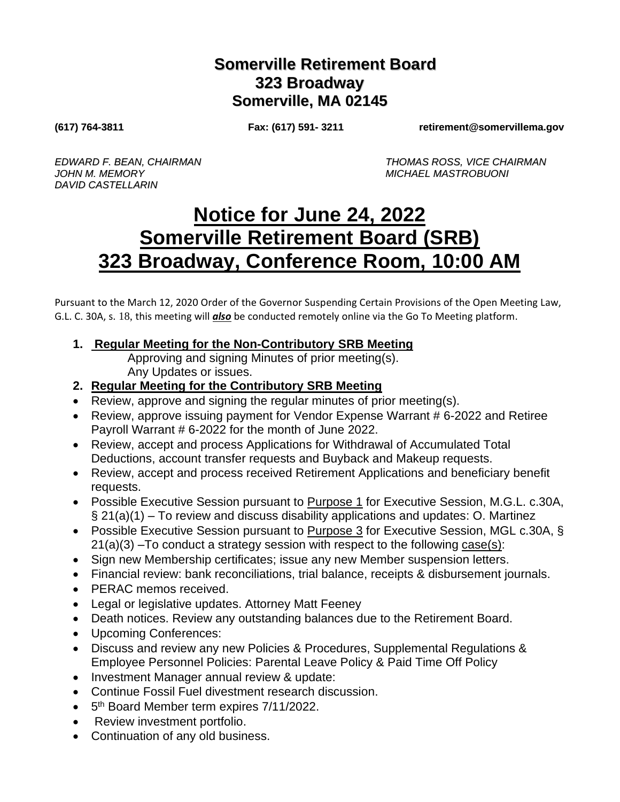## **Somerville Retirement Board 323 Broadway Somerville, MA 02145**

**(617) 764-3811 Fax: (617) 591- 3211 retirement@somervillema.gov**

*JOHN M. MEMORY MICHAEL MASTROBUONI DAVID CASTELLARIN*

*EDWARD F. BEAN, CHAIRMAN THOMAS ROSS, VICE CHAIRMAN*

## **Notice for June 24, 2022 Somerville Retirement Board (SRB) 323 Broadway, Conference Room, 10:00 AM**

Pursuant to the March 12, 2020 Order of the Governor Suspending Certain Provisions of the Open Meeting Law, G.L. C. 30A, s. 18, this meeting will *also* be conducted remotely online via the Go To Meeting platform.

**1. Regular Meeting for the Non-Contributory SRB Meeting**

Approving and signing Minutes of prior meeting(s). Any Updates or issues.

- **2. Regular Meeting for the Contributory SRB Meeting**
- Review, approve and signing the regular minutes of prior meeting(s).
- Review, approve issuing payment for Vendor Expense Warrant # 6-2022 and Retiree Payroll Warrant # 6-2022 for the month of June 2022.
- Review, accept and process Applications for Withdrawal of Accumulated Total Deductions, account transfer requests and Buyback and Makeup requests.
- Review, accept and process received Retirement Applications and beneficiary benefit requests.
- Possible Executive Session pursuant to Purpose 1 for Executive Session, M.G.L. c.30A,  $\S 21(a)(1)$  – To review and discuss disability applications and updates: O. Martinez
- Possible Executive Session pursuant to Purpose 3 for Executive Session, MGL c.30A, §  $21(a)(3)$  –To conduct a strategy session with respect to the following case(s):
- Sign new Membership certificates; issue any new Member suspension letters.
- Financial review: bank reconciliations, trial balance, receipts & disbursement journals.
- PERAC memos received.
- Legal or legislative updates. Attorney Matt Feeney
- Death notices. Review any outstanding balances due to the Retirement Board.
- Upcoming Conferences:
- Discuss and review any new Policies & Procedures, Supplemental Regulations & Employee Personnel Policies: Parental Leave Policy & Paid Time Off Policy
- Investment Manager annual review & update:
- Continue Fossil Fuel divestment research discussion.
- 5<sup>th</sup> Board Member term expires 7/11/2022.
- Review investment portfolio.
- Continuation of any old business.